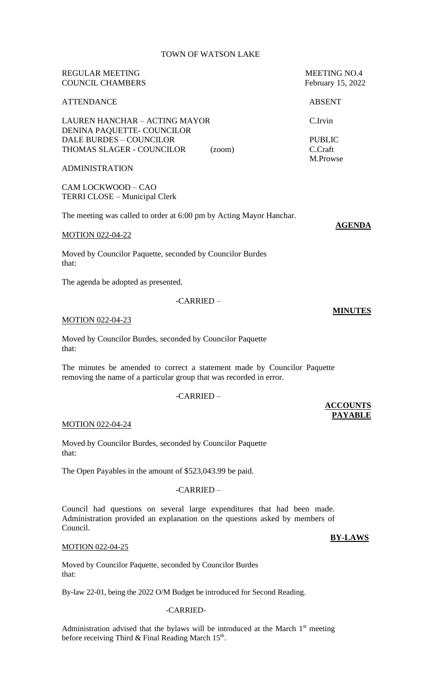# TOWN OF WATSON LAKE

# REGULAR MEETING MEETING MEETING NO.4 COUNCIL CHAMBERS February 15, 2022

# ATTENDANCE ABSENT

LAUREN HANCHAR – ACTING MAYOR C.Irvin DENINA PAQUETTE- COUNCILOR DALE BURDES – COUNCILOR PUBLIC THOMAS SLAGER - COUNCILOR (zoom) C.Craft

#### ADMINISTRATION

CAM LOCKWOOD – CAO TERRI CLOSE – Municipal Clerk

The meeting was called to order at 6:00 pm by Acting Mayor Hanchar.

#### MOTION 022-04-22

Moved by Councilor Paquette, seconded by Councilor Burdes that:

The agenda be adopted as presented.

-CARRIED –

# MOTION 022-04-23

Moved by Councilor Burdes, seconded by Councilor Paquette that:

The minutes be amended to correct a statement made by Councilor Paquette removing the name of a particular group that was recorded in error.

# -CARRIED –

#### MOTION 022-04-24

Moved by Councilor Burdes, seconded by Councilor Paquette that:

The Open Payables in the amount of \$523,043.99 be paid.

#### -CARRIED –

Council had questions on several large expenditures that had been made. Administration provided an explanation on the questions asked by members of Council.

#### MOTION 022-04-25

Moved by Councilor Paquette, seconded by Councilor Burdes that:

By-law 22-01, being the 2022 O/M Budget be introduced for Second Reading.

#### -CARRIED-

Administration advised that the bylaws will be introduced at the March  $1<sup>st</sup>$  meeting before receiving Third & Final Reading March  $15<sup>th</sup>$ .

M.Prowse

**MINUTES**

**ACCOUNTS PAYABLE**

**AGENDA**

**BY-LAWS**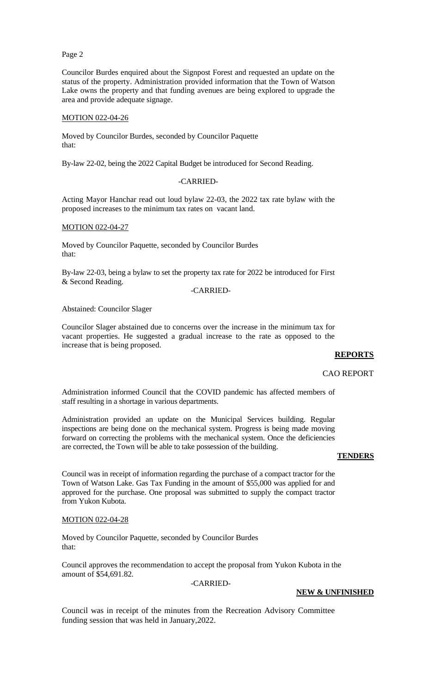### Page 2

Councilor Burdes enquired about the Signpost Forest and requested an update on the status of the property. Administration provided information that the Town of Watson Lake owns the property and that funding avenues are being explored to upgrade the area and provide adequate signage.

#### MOTION 022-04-26

Moved by Councilor Burdes, seconded by Councilor Paquette that:

By-law 22-02, being the 2022 Capital Budget be introduced for Second Reading.

#### -CARRIED-

Acting Mayor Hanchar read out loud bylaw 22-03, the 2022 tax rate bylaw with the proposed increases to the minimum tax rates on vacant land.

#### MOTION 022-04-27

Moved by Councilor Paquette, seconded by Councilor Burdes that:

By-law 22-03, being a bylaw to set the property tax rate for 2022 be introduced for First & Second Reading.

#### -CARRIED-

Abstained: Councilor Slager

Councilor Slager abstained due to concerns over the increase in the minimum tax for vacant properties. He suggested a gradual increase to the rate as opposed to the increase that is being proposed.

## **REPORTS**

#### CAO REPORT

Administration informed Council that the COVID pandemic has affected members of staff resulting in a shortage in various departments.

Administration provided an update on the Municipal Services building. Regular inspections are being done on the mechanical system. Progress is being made moving forward on correcting the problems with the mechanical system. Once the deficiencies are corrected, the Town will be able to take possession of the building.

### **TENDERS**

Council was in receipt of information regarding the purchase of a compact tractor for the Town of Watson Lake. Gas Tax Funding in the amount of \$55,000 was applied for and approved for the purchase. One proposal was submitted to supply the compact tractor from Yukon Kubota.

#### MOTION 022-04-28

Moved by Councilor Paquette, seconded by Councilor Burdes that:

Council approves the recommendation to accept the proposal from Yukon Kubota in the amount of \$54,691.82.

-CARRIED-

# **NEW & UNFINISHED**

Council was in receipt of the minutes from the Recreation Advisory Committee funding session that was held in January,2022.